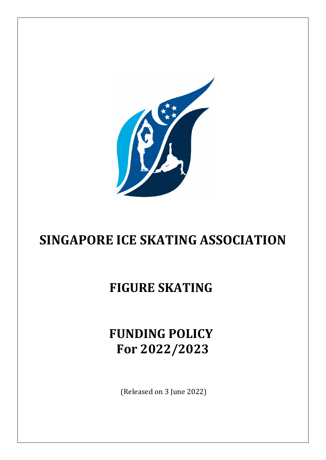

# **SINGAPORE ICE SKATING ASSOCIATION**

### **FIGURE SKATING**

## **FUNDING POLICY For 2022/2023**

(Released on 3 June 2022)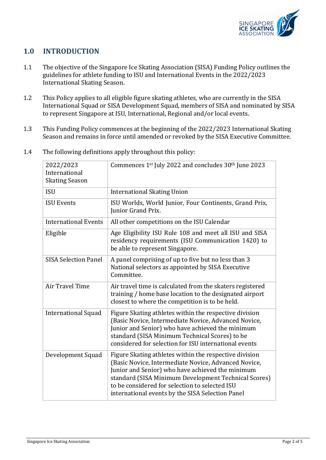

### **1.0 INTRODUCTION**

- 1.1 The objective of the Singapore Ice Skating Association (SISA) Funding Policy outlines the guidelines for athlete funding to ISU and International Events in the 2022/2023 International Skating Season.
- 1.2 This Policy applies to all eligible figure skating athletes, who are currently in the SISA International Squad or SISA Development Squad, members of SISA and nominated by SISA to represent Singapore at ISU, International, Regional and/or local events.
- 1.3 This Funding Policy commences at the beginning of the 2022/2023 International Skating Season and remains in force until amended or revoked by the SISA Executive Committee.

| 2022/2023<br>International<br><b>Skating Season</b> | Commences 1st July 2022 and concludes 30th June 2023                                                                                                                                                                                                                                                                             |  |  |
|-----------------------------------------------------|----------------------------------------------------------------------------------------------------------------------------------------------------------------------------------------------------------------------------------------------------------------------------------------------------------------------------------|--|--|
| <b>ISU</b>                                          | <b>International Skating Union</b>                                                                                                                                                                                                                                                                                               |  |  |
| <b>ISU Events</b>                                   | ISU Worlds, World Junior, Four Continents, Grand Prix,<br>Junior Grand Prix.                                                                                                                                                                                                                                                     |  |  |
| <b>International Events</b>                         | All other competitions on the ISU Calendar                                                                                                                                                                                                                                                                                       |  |  |
| Eligible                                            | Age Eligibility ISU Rule 108 and meet all ISU and SISA<br>residency requirements (ISU Communication 1420) to<br>be able to represent Singapore.                                                                                                                                                                                  |  |  |
| <b>SISA Selection Panel</b>                         | A panel comprising of up to five but no less than 3<br>National selectors as appointed by SISA Executive<br>Committee.                                                                                                                                                                                                           |  |  |
| Air Travel Time                                     | Air travel time is calculated from the skaters registered<br>training / home base location to the designated airport<br>closest to where the competition is to be held.                                                                                                                                                          |  |  |
| <b>International Squad</b>                          | Figure Skating athletes within the respective division<br>(Basic Novice, Intermediate Novice, Advanced Novice,<br>Junior and Senior) who have achieved the minimum<br>standard (SISA Minimum Technical Scores) to be<br>considered for selection for ISU international events                                                    |  |  |
| Development Squad                                   | Figure Skating athletes within the respective division<br>(Basic Novice, Intermediate Novice, Advanced Novice,<br>Junior and Senior) who have achieved the minimum<br>standard (SISA Minimum Development Technical Scores)<br>to be considered for selection to selected ISU<br>international events by the SISA Selection Panel |  |  |

1.4 The following definitions apply throughout this policy: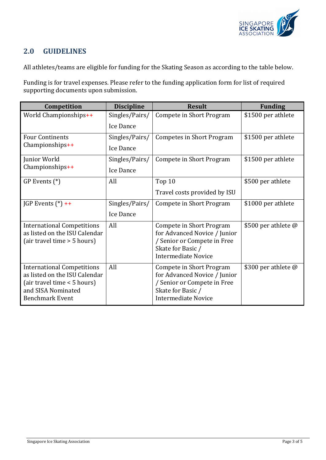

#### **2.0 GUIDELINES**

All athletes/teams are eligible for funding for the Skating Season as according to the table below.

Funding is for travel expenses. Please refer to the funding application form for list of required supporting documents upon submission.

| Competition                                                                                                                                       | <b>Discipline</b> | <b>Result</b>                                                                                                                              | <b>Funding</b>             |
|---------------------------------------------------------------------------------------------------------------------------------------------------|-------------------|--------------------------------------------------------------------------------------------------------------------------------------------|----------------------------|
| World Championships++                                                                                                                             | Singles/Pairs/    | Compete in Short Program                                                                                                                   | \$1500 per athlete         |
|                                                                                                                                                   | Ice Dance         |                                                                                                                                            |                            |
| <b>Four Continents</b><br>$Championships++$                                                                                                       | Singles/Pairs/    | <b>Competes in Short Program</b>                                                                                                           | \$1500 per athlete         |
|                                                                                                                                                   | Ice Dance         |                                                                                                                                            |                            |
| Junior World<br>$Championships++$                                                                                                                 | Singles/Pairs/    | Compete in Short Program                                                                                                                   | \$1500 per athlete         |
|                                                                                                                                                   | Ice Dance         |                                                                                                                                            |                            |
| $GP$ Events $(*)$                                                                                                                                 | All               | Top 10                                                                                                                                     | \$500 per athlete          |
|                                                                                                                                                   |                   | Travel costs provided by ISU                                                                                                               |                            |
| JGP Events $(*)$ ++                                                                                                                               | Singles/Pairs/    | Compete in Short Program                                                                                                                   | \$1000 per athlete         |
|                                                                                                                                                   | Ice Dance         |                                                                                                                                            |                            |
| <b>International Competitions</b><br>as listed on the ISU Calendar<br>(air travel time > 5 hours)                                                 | All               | Compete in Short Program<br>for Advanced Novice / Junior<br>/ Senior or Compete in Free<br>Skate for Basic /<br><b>Intermediate Novice</b> | \$500 per athlete $\omega$ |
| <b>International Competitions</b><br>as listed on the ISU Calendar<br>(air travel time < 5 hours)<br>and SISA Nominated<br><b>Benchmark Event</b> | All               | Compete in Short Program<br>for Advanced Novice / Junior<br>/ Senior or Compete in Free<br>Skate for Basic /<br><b>Intermediate Novice</b> | \$300 per athlete @        |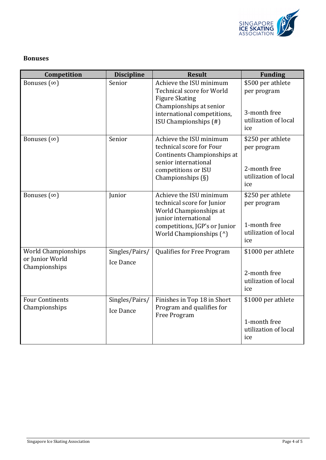

#### **Bonuses**

| Competition                                                    | <b>Discipline</b>           | <b>Result</b>                                                                                                                                                           | <b>Funding</b>                                                                  |
|----------------------------------------------------------------|-----------------------------|-------------------------------------------------------------------------------------------------------------------------------------------------------------------------|---------------------------------------------------------------------------------|
| Bonuses $(\infty)$                                             | Senior                      | Achieve the ISU minimum<br><b>Technical score for World</b><br><b>Figure Skating</b><br>Championships at senior<br>international competitions,<br>ISU Championships (#) | \$500 per athlete<br>per program<br>3-month free<br>utilization of local<br>ice |
| Bonuses $(\infty)$                                             | Senior                      | Achieve the ISU minimum<br>technical score for Four<br>Continents Championships at<br>senior international<br>competitions or ISU<br>Championships $(\S)$               | \$250 per athlete<br>per program<br>2-month free<br>utilization of local<br>ice |
| Bonuses $(\infty)$                                             | Junior                      | Achieve the ISU minimum<br>technical score for Junior<br>World Championships at<br>junior international<br>competitions, JGP's or Junior<br>World Championships (^)     | \$250 per athlete<br>per program<br>1-month free<br>utilization of local<br>ice |
| <b>World Championships</b><br>or Junior World<br>Championships | Singles/Pairs/<br>Ice Dance | Qualifies for Free Program                                                                                                                                              | \$1000 per athlete<br>2-month free<br>utilization of local<br>ice               |
| <b>Four Continents</b><br>Championships                        | Singles/Pairs/<br>Ice Dance | Finishes in Top 18 in Short<br>Program and qualifies for<br>Free Program                                                                                                | \$1000 per athlete<br>1-month free<br>utilization of local<br>ice               |